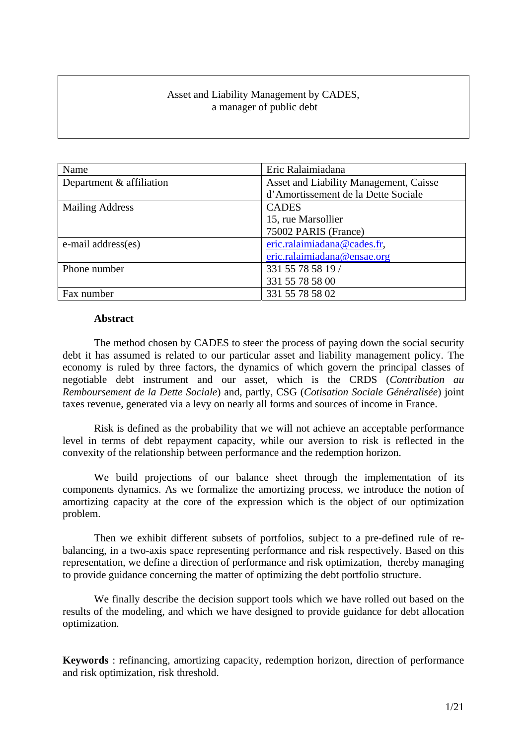# Asset and Liability Management by CADES, a manager of public debt

| Name                       | Eric Ralaimiadana                      |
|----------------------------|----------------------------------------|
| Department $&$ affiliation | Asset and Liability Management, Caisse |
|                            | d'Amortissement de la Dette Sociale    |
| <b>Mailing Address</b>     | <b>CADES</b>                           |
|                            | 15, rue Marsollier                     |
|                            | 75002 PARIS (France)                   |
| e-mail address(es)         | eric.ralaimiadana@cades.fr,            |
|                            | eric.ralaimiadana@ensae.org            |
| Phone number               | 331 55 78 58 19 /                      |
|                            | 331 55 78 58 00                        |
| Fax number                 | 331 55 78 58 02                        |

### **Abstract**

The method chosen by CADES to steer the process of paying down the social security debt it has assumed is related to our particular asset and liability management policy. The economy is ruled by three factors, the dynamics of which govern the principal classes of negotiable debt instrument and our asset, which is the CRDS (*Contribution au Remboursement de la Dette Sociale*) and, partly, CSG (*Cotisation Sociale Généralisée*) joint taxes revenue, generated via a levy on nearly all forms and sources of income in France.

Risk is defined as the probability that we will not achieve an acceptable performance level in terms of debt repayment capacity, while our aversion to risk is reflected in the convexity of the relationship between performance and the redemption horizon.

We build projections of our balance sheet through the implementation of its components dynamics. As we formalize the amortizing process, we introduce the notion of amortizing capacity at the core of the expression which is the object of our optimization problem.

Then we exhibit different subsets of portfolios, subject to a pre-defined rule of rebalancing, in a two-axis space representing performance and risk respectively. Based on this representation, we define a direction of performance and risk optimization, thereby managing to provide guidance concerning the matter of optimizing the debt portfolio structure.

We finally describe the decision support tools which we have rolled out based on the results of the modeling, and which we have designed to provide guidance for debt allocation optimization.

**Keywords** : refinancing, amortizing capacity, redemption horizon, direction of performance and risk optimization, risk threshold.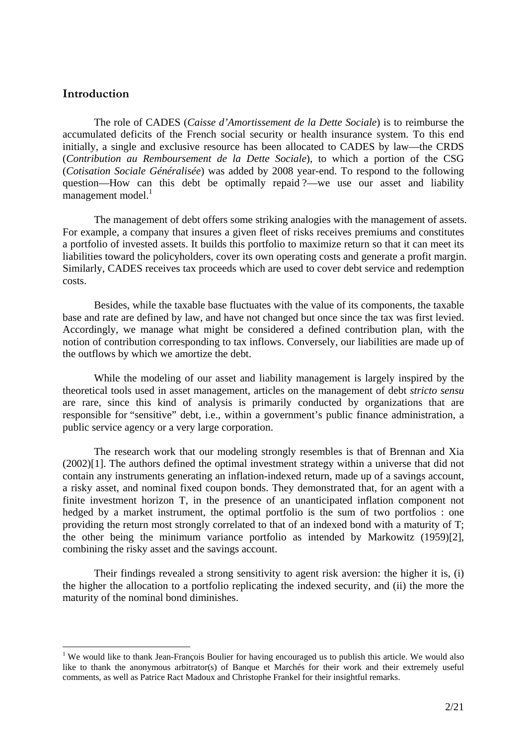# **Introduction**

1

The role of CADES (*Caisse d'Amortissement de la Dette Sociale*) is to reimburse the accumulated deficits of the French social security or health insurance system. To this end initially, a single and exclusive resource has been allocated to CADES by law—the CRDS (*Contribution au Remboursement de la Dette Sociale*), to which a portion of the CSG (*Cotisation Sociale Généralisée*) was added by 2008 year-end. To respond to the following question—How can this debt be optimally repaid ?—we use our asset and liability management model.<sup>1</sup>

The management of debt offers some striking analogies with the management of assets. For example, a company that insures a given fleet of risks receives premiums and constitutes a portfolio of invested assets. It builds this portfolio to maximize return so that it can meet its liabilities toward the policyholders, cover its own operating costs and generate a profit margin. Similarly, CADES receives tax proceeds which are used to cover debt service and redemption costs.

Besides, while the taxable base fluctuates with the value of its components, the taxable base and rate are defined by law, and have not changed but once since the tax was first levied. Accordingly, we manage what might be considered a defined contribution plan, with the notion of contribution corresponding to tax inflows. Conversely, our liabilities are made up of the outflows by which we amortize the debt.

While the modeling of our asset and liability management is largely inspired by the theoretical tools used in asset management, articles on the management of debt *stricto sensu* are rare, since this kind of analysis is primarily conducted by organizations that are responsible for "sensitive" debt, i.e., within a government's public finance administration, a public service agency or a very large corporation.

The research work that our modeling strongly resembles is that of Brennan and Xia (2002)[1]. The authors defined the optimal investment strategy within a universe that did not contain any instruments generating an inflation-indexed return, made up of a savings account, a risky asset, and nominal fixed coupon bonds. They demonstrated that, for an agent with a finite investment horizon T, in the presence of an unanticipated inflation component not hedged by a market instrument, the optimal portfolio is the sum of two portfolios : one providing the return most strongly correlated to that of an indexed bond with a maturity of T; the other being the minimum variance portfolio as intended by Markowitz (1959)[2], combining the risky asset and the savings account.

Their findings revealed a strong sensitivity to agent risk aversion: the higher it is, (i) the higher the allocation to a portfolio replicating the indexed security, and (ii) the more the maturity of the nominal bond diminishes.

<sup>&</sup>lt;sup>1</sup> We would like to thank Jean-François Boulier for having encouraged us to publish this article. We would also like to thank the anonymous arbitrator(s) of Banque et Marchés for their work and their extremely useful comments, as well as Patrice Ract Madoux and Christophe Frankel for their insightful remarks.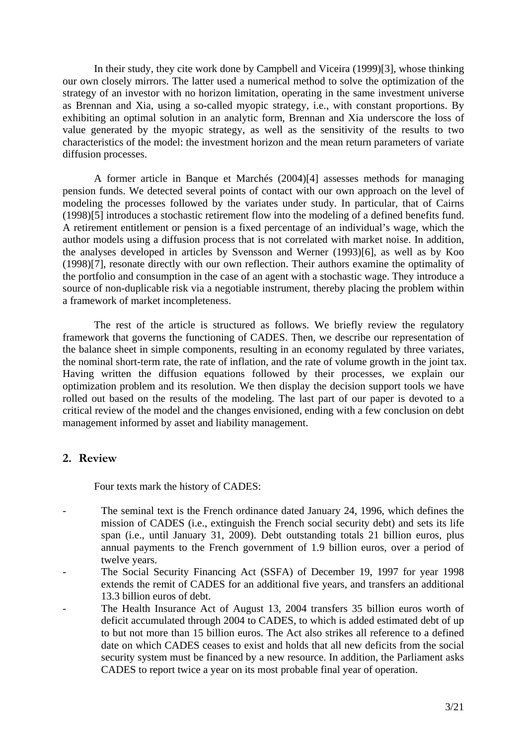In their study, they cite work done by Campbell and Viceira (1999)[3], whose thinking our own closely mirrors. The latter used a numerical method to solve the optimization of the strategy of an investor with no horizon limitation, operating in the same investment universe as Brennan and Xia, using a so-called myopic strategy, i.e., with constant proportions. By exhibiting an optimal solution in an analytic form, Brennan and Xia underscore the loss of value generated by the myopic strategy, as well as the sensitivity of the results to two characteristics of the model: the investment horizon and the mean return parameters of variate diffusion processes.

A former article in Banque et Marchés (2004)[4] assesses methods for managing pension funds. We detected several points of contact with our own approach on the level of modeling the processes followed by the variates under study. In particular, that of Cairns (1998)[5] introduces a stochastic retirement flow into the modeling of a defined benefits fund. A retirement entitlement or pension is a fixed percentage of an individual's wage, which the author models using a diffusion process that is not correlated with market noise. In addition, the analyses developed in articles by Svensson and Werner (1993)[6], as well as by Koo (1998)[7], resonate directly with our own reflection. Their authors examine the optimality of the portfolio and consumption in the case of an agent with a stochastic wage. They introduce a source of non-duplicable risk via a negotiable instrument, thereby placing the problem within a framework of market incompleteness.

The rest of the article is structured as follows. We briefly review the regulatory framework that governs the functioning of CADES. Then, we describe our representation of the balance sheet in simple components, resulting in an economy regulated by three variates, the nominal short-term rate, the rate of inflation, and the rate of volume growth in the joint tax. Having written the diffusion equations followed by their processes, we explain our optimization problem and its resolution. We then display the decision support tools we have rolled out based on the results of the modeling. The last part of our paper is devoted to a critical review of the model and the changes envisioned, ending with a few conclusion on debt management informed by asset and liability management.

# **2. Review**

Four texts mark the history of CADES:

- The seminal text is the French ordinance dated January 24, 1996, which defines the mission of CADES (i.e., extinguish the French social security debt) and sets its life span (i.e., until January 31, 2009). Debt outstanding totals 21 billion euros, plus annual payments to the French government of 1.9 billion euros, over a period of twelve years.
- The Social Security Financing Act (SSFA) of December 19, 1997 for year 1998 extends the remit of CADES for an additional five years, and transfers an additional 13.3 billion euros of debt.
- The Health Insurance Act of August 13, 2004 transfers 35 billion euros worth of deficit accumulated through 2004 to CADES, to which is added estimated debt of up to but not more than 15 billion euros. The Act also strikes all reference to a defined date on which CADES ceases to exist and holds that all new deficits from the social security system must be financed by a new resource. In addition, the Parliament asks CADES to report twice a year on its most probable final year of operation.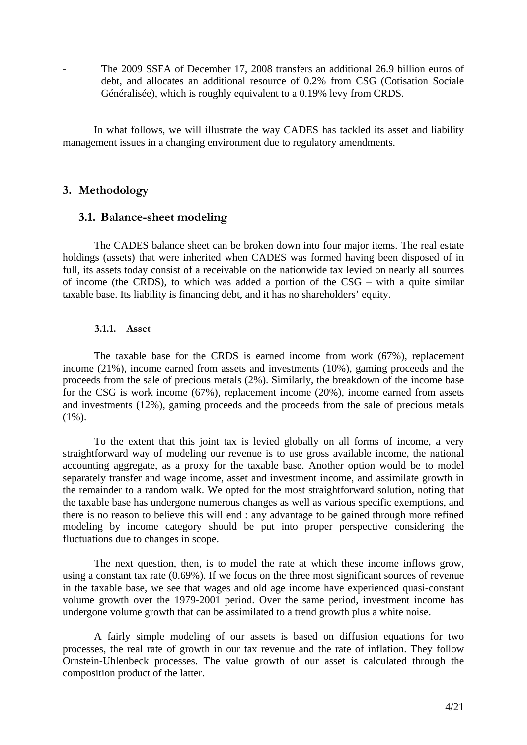The 2009 SSFA of December 17, 2008 transfers an additional 26.9 billion euros of debt, and allocates an additional resource of 0.2% from CSG (Cotisation Sociale Généralisée), which is roughly equivalent to a 0.19% levy from CRDS.

In what follows, we will illustrate the way CADES has tackled its asset and liability management issues in a changing environment due to regulatory amendments.

# **3. Methodology**

## **3.1. Balance-sheet modeling**

The CADES balance sheet can be broken down into four major items. The real estate holdings (assets) that were inherited when CADES was formed having been disposed of in full, its assets today consist of a receivable on the nationwide tax levied on nearly all sources of income (the CRDS), to which was added a portion of the CSG – with a quite similar taxable base. Its liability is financing debt, and it has no shareholders' equity.

### **3.1.1. Asset**

The taxable base for the CRDS is earned income from work (67%), replacement income (21%), income earned from assets and investments (10%), gaming proceeds and the proceeds from the sale of precious metals (2%). Similarly, the breakdown of the income base for the CSG is work income (67%), replacement income (20%), income earned from assets and investments (12%), gaming proceeds and the proceeds from the sale of precious metals  $(1\%)$ .

To the extent that this joint tax is levied globally on all forms of income, a very straightforward way of modeling our revenue is to use gross available income, the national accounting aggregate, as a proxy for the taxable base. Another option would be to model separately transfer and wage income, asset and investment income, and assimilate growth in the remainder to a random walk. We opted for the most straightforward solution, noting that the taxable base has undergone numerous changes as well as various specific exemptions, and there is no reason to believe this will end : any advantage to be gained through more refined modeling by income category should be put into proper perspective considering the fluctuations due to changes in scope.

The next question, then, is to model the rate at which these income inflows grow, using a constant tax rate (0.69%). If we focus on the three most significant sources of revenue in the taxable base, we see that wages and old age income have experienced quasi-constant volume growth over the 1979-2001 period. Over the same period, investment income has undergone volume growth that can be assimilated to a trend growth plus a white noise.

A fairly simple modeling of our assets is based on diffusion equations for two processes, the real rate of growth in our tax revenue and the rate of inflation. They follow Ornstein-Uhlenbeck processes. The value growth of our asset is calculated through the composition product of the latter.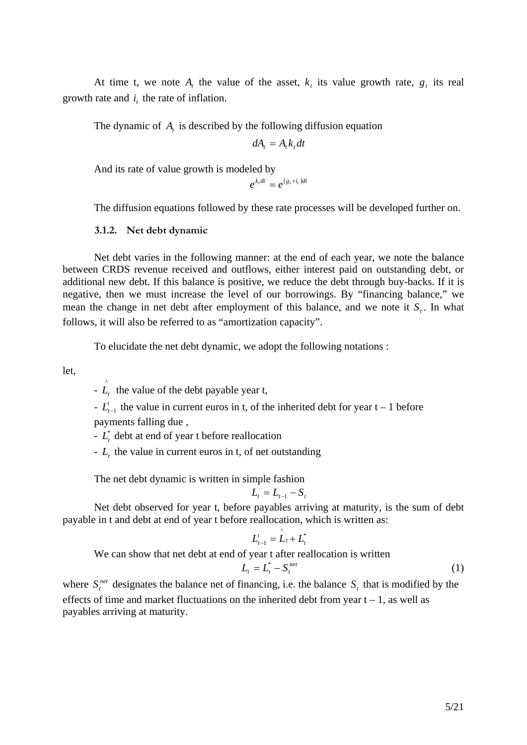At time t, we note  $A_t$ , the value of the asset,  $k_t$  its value growth rate,  $g_t$  its real growth rate and  $i<sub>i</sub>$  the rate of inflation.

The dynamic of *A*, is described by the following diffusion equation

$$
dA_t = A_t k_t dt
$$

And its rate of value growth is modeled by

 $e^{k_t dt} = e^{(g_t + i_t)dt}$ 

The diffusion equations followed by these rate processes will be developed further on.

### **3.1.2. Net debt dynamic**

Net debt varies in the following manner: at the end of each year, we note the balance between CRDS revenue received and outflows, either interest paid on outstanding debt, or additional new debt. If this balance is positive, we reduce the debt through buy-backs. If it is negative, then we must increase the level of our borrowings. By "financing balance," we mean the change in net debt after employment of this balance, and we note it  $S<sub>i</sub>$ . In what follows, it will also be referred to as "amortization capacity".

To elucidate the net debt dynamic, we adopt the following notations :

let,

 $-\hat{L}_t$  the value of the debt payable year t,

- *L*<sup>t</sup><sub> $t-1$ </sub> the value in current euros in t, of the inherited debt for year t − 1 before payments falling due ,

 $-L_t^*$  debt at end of year t before reallocation

- *Lt* the value in current euros in t, of net outstanding

The net debt dynamic is written in simple fashion

$$
L_t = L_{t-1} - S_t
$$

Net debt observed for year t, before payables arriving at maturity, is the sum of debt payable in t and debt at end of year t before reallocation, which is written as:

$$
L_{t-1}^t = \mathop{\mathcal{L}}\limits^{\wedge}_{t} + L_{t}^*
$$

We can show that net debt at end of year t after reallocation is written

$$
L_t = L_t^* - S_t^{net} \tag{1}
$$

where  $S_t^{net}$  designates the balance net of financing, i.e. the balance  $S_t$  that is modified by the effects of time and market fluctuations on the inherited debt from year  $t - 1$ , as well as payables arriving at maturity.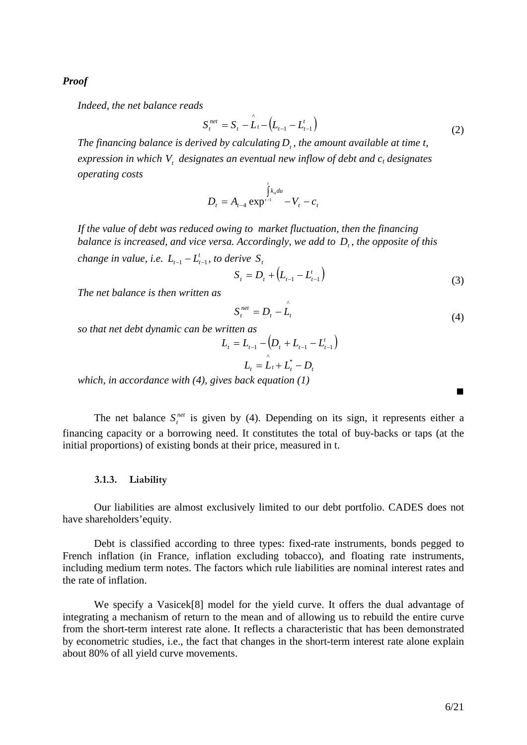*Proof* 

*Indeed, the net balance reads* 

$$
S_t^{net} = S_t - \hat{L}_t - (L_{t-1} - L_{t-1}^t)
$$
\n(2)

*The financing balance is derived by calculating D<sub>r</sub>*, the amount available at time t, *expression in which V, designates an eventual new inflow of debt and c<sub>t</sub> designates operating costs* 

$$
D_{t} = A_{t-4} \exp^{\int_{t}^{t} k_{u} du} - V_{t} - c_{t}
$$

*If the value of debt was reduced owing to market fluctuation, then the financing balance is increased, and vice versa. Accordingly, we add to D<sub>r</sub>, the opposite of this change in value, i.e.*  $L_{t-1} - L_{t-1}^t$ *, to derive*  $S_t$ 

$$
S_t = D_t + (L_{t-1} - L_{t-1}^t)
$$
\n(3)

*The net balance is then written as* 

$$
S_t^{net} = D_t - \hat{L}_t \tag{4}
$$

*so that net debt dynamic can be written as* 

$$
L_{t} = L_{t-1} - (D_{t} + L_{t-1} - L_{t-1}^{t})
$$

$$
L_{t} = L_{t} + L_{t}^{*} - D_{t}
$$

*which, in accordance with (4), gives back equation (1)* 

|  |  |  |  |  | The net balance $S_t^{net}$ is given by (4). Depending on its sign, it represents either a    |  |  |  |  |  |  |
|--|--|--|--|--|-----------------------------------------------------------------------------------------------|--|--|--|--|--|--|
|  |  |  |  |  | financing capacity or a borrowing need. It constitutes the total of buy-backs or taps (at the |  |  |  |  |  |  |
|  |  |  |  |  | initial proportions) of existing bonds at their price, measured in t.                         |  |  |  |  |  |  |

### **3.1.3. Liability**

Our liabilities are almost exclusively limited to our debt portfolio. CADES does not have shareholders'equity.

Debt is classified according to three types: fixed-rate instruments, bonds pegged to French inflation (in France, inflation excluding tobacco), and floating rate instruments, including medium term notes. The factors which rule liabilities are nominal interest rates and the rate of inflation.

We specify a Vasicek<sup>[8]</sup> model for the yield curve. It offers the dual advantage of integrating a mechanism of return to the mean and of allowing us to rebuild the entire curve from the short-term interest rate alone. It reflects a characteristic that has been demonstrated by econometric studies, i.e., the fact that changes in the short-term interest rate alone explain about 80% of all yield curve movements.

 $\blacksquare$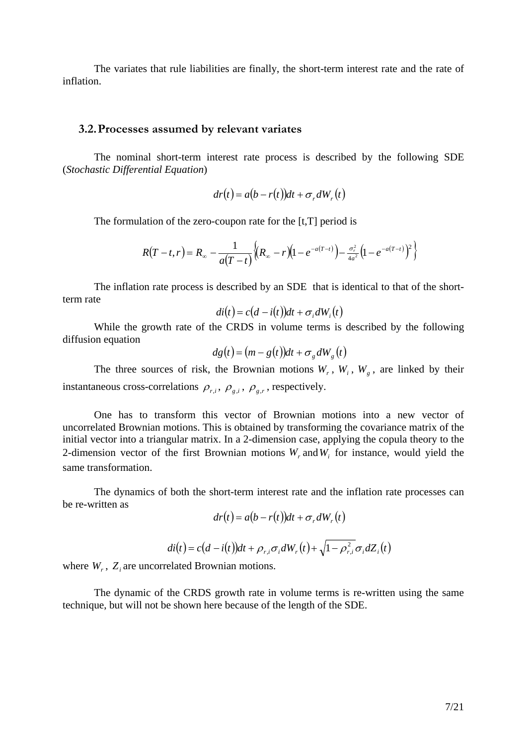The variates that rule liabilities are finally, the short-term interest rate and the rate of inflation.

#### **3.2.Processes assumed by relevant variates**

The nominal short-term interest rate process is described by the following SDE (*Stochastic Differential Equation*)

$$
dr(t) = a(b - r(t))dt + \sigma_r dW_r(t)
$$

The formulation of the zero-coupon rate for the [t,T] period is

$$
R(T-t,r) = R_{\infty} - \frac{1}{a(T-t)} \Big\{ (R_{\infty} - r) (1 - e^{-a(T-t)}) - \frac{\sigma_r^2}{4a^2} (1 - e^{-a(T-t)})^2 \Big\}
$$

The inflation rate process is described by an SDE that is identical to that of the shortterm rate

$$
di(t) = c(d - i(t))dt + \sigma_i dW_i(t)
$$

While the growth rate of the CRDS in volume terms is described by the following diffusion equation

$$
dg(t) = (m - g(t))dt + \sigma_g dW_g(t)
$$

The three sources of risk, the Brownian motions  $W_r$ ,  $W_i$ ,  $W_g$ , are linked by their instantaneous cross-correlations  $\rho_{r,i}$ ,  $\rho_{g,i}$ ,  $\rho_{g,r}$ , respectively.

One has to transform this vector of Brownian motions into a new vector of uncorrelated Brownian motions. This is obtained by transforming the covariance matrix of the initial vector into a triangular matrix. In a 2-dimension case, applying the copula theory to the 2-dimension vector of the first Brownian motions  $W<sub>r</sub>$  and  $W<sub>i</sub>$  for instance, would yield the same transformation.

The dynamics of both the short-term interest rate and the inflation rate processes can be re-written as

$$
dr(t) = a(b - r(t))dt + \sigma_r dW_r(t)
$$

$$
di(t) = c(d - i(t))dt + \rho_{r,i}\sigma_i dW_r(t) + \sqrt{1 - \rho_{r,i}^2}\sigma_i dZ_i(t)
$$

where  $W_r$ ,  $Z_i$  are uncorrelated Brownian motions.

The dynamic of the CRDS growth rate in volume terms is re-written using the same technique, but will not be shown here because of the length of the SDE.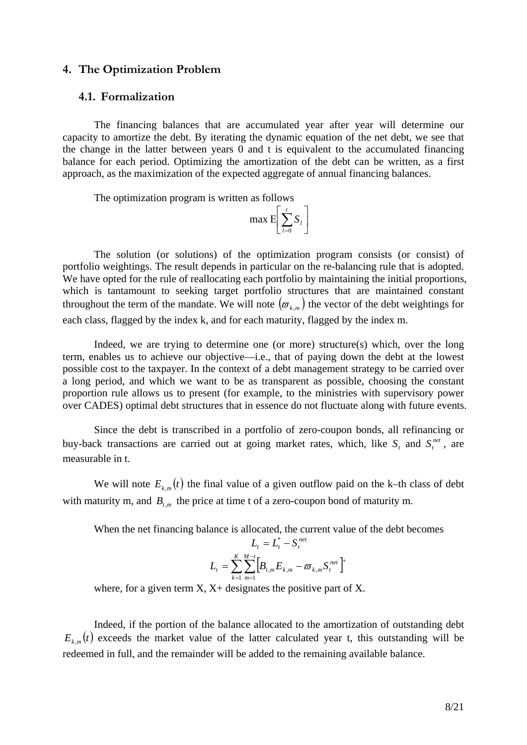### **4. The Optimization Problem**

### **4.1. Formalization**

The financing balances that are accumulated year after year will determine our capacity to amortize the debt. By iterating the dynamic equation of the net debt, we see that the change in the latter between years 0 and t is equivalent to the accumulated financing balance for each period. Optimizing the amortization of the debt can be written, as a first approach, as the maximization of the expected aggregate of annual financing balances.

The optimization program is written as follows

$$
\max \mathbb{E}\bigg[\sum_{l=0}^t S_l\bigg]
$$

The solution (or solutions) of the optimization program consists (or consist) of portfolio weightings. The result depends in particular on the re-balancing rule that is adopted. We have opted for the rule of reallocating each portfolio by maintaining the initial proportions, which is tantamount to seeking target portfolio structures that are maintained constant throughout the term of the mandate. We will note  $(\sigma_{k,m})$  the vector of the debt weightings for each class, flagged by the index k, and for each maturity, flagged by the index m.

Indeed, we are trying to determine one (or more) structure(s) which, over the long term, enables us to achieve our objective—i.e., that of paying down the debt at the lowest possible cost to the taxpayer. In the context of a debt management strategy to be carried over a long period, and which we want to be as transparent as possible, choosing the constant proportion rule allows us to present (for example, to the ministries with supervisory power over CADES) optimal debt structures that in essence do not fluctuate along with future events.

Since the debt is transcribed in a portfolio of zero-coupon bonds, all refinancing or buy-back transactions are carried out at going market rates, which, like  $S_t$  and  $S_t^{net}$ , are measurable in t.

We will note  $E_{k,m}(t)$  the final value of a given outflow paid on the k–th class of debt with maturity m, and  $B_{t,m}$  the price at time t of a zero-coupon bond of maturity m.

When the net financing balance is allocated, the current value of the debt becomes

$$
L_{t} = L_{t}^{*} - S_{t}^{net}
$$

$$
L_{t} = \sum_{k=1}^{K} \sum_{m=1}^{M-t} \Big[ B_{t,m} E_{k,m} - \varpi_{k,m} S_{t}^{net} \Big]^{+}
$$

where, for a given term  $X$ ,  $X$ + designates the positive part of X.

Indeed, if the portion of the balance allocated to the amortization of outstanding debt  $E_{k,m}(t)$  exceeds the market value of the latter calculated year t, this outstanding will be redeemed in full, and the remainder will be added to the remaining available balance.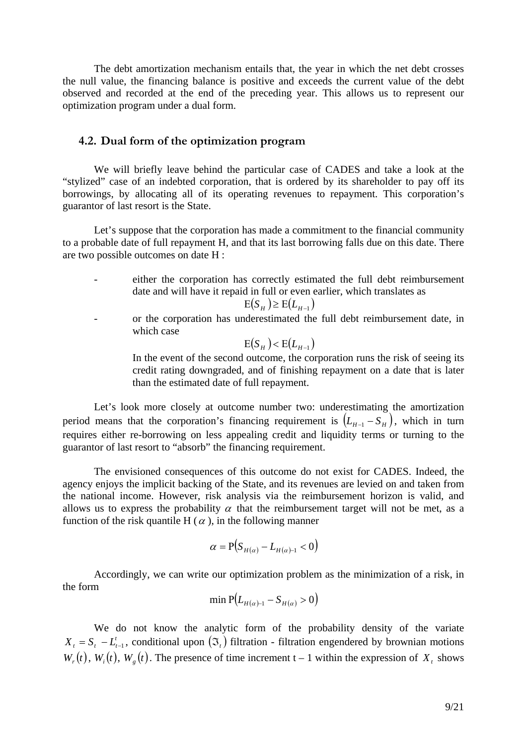The debt amortization mechanism entails that, the year in which the net debt crosses the null value, the financing balance is positive and exceeds the current value of the debt observed and recorded at the end of the preceding year. This allows us to represent our optimization program under a dual form.

## **4.2. Dual form of the optimization program**

We will briefly leave behind the particular case of CADES and take a look at the "stylized" case of an indebted corporation, that is ordered by its shareholder to pay off its borrowings, by allocating all of its operating revenues to repayment. This corporation's guarantor of last resort is the State.

Let's suppose that the corporation has made a commitment to the financial community to a probable date of full repayment H, and that its last borrowing falls due on this date. There are two possible outcomes on date H :

either the corporation has correctly estimated the full debt reimbursement date and will have it repaid in full or even earlier, which translates as

$$
E(S_H) \ge E(L_{H-1})
$$

- 
- or the corporation has underestimated the full debt reimbursement date, in which case

$$
E(S_H) < E(L_{H-1})
$$

In the event of the second outcome, the corporation runs the risk of seeing its credit rating downgraded, and of finishing repayment on a date that is later than the estimated date of full repayment.

Let's look more closely at outcome number two: underestimating the amortization period means that the corporation's financing requirement is  $(L_{H-1} - S_H)$ , which in turn requires either re-borrowing on less appealing credit and liquidity terms or turning to the guarantor of last resort to "absorb" the financing requirement.

The envisioned consequences of this outcome do not exist for CADES. Indeed, the agency enjoys the implicit backing of the State, and its revenues are levied on and taken from the national income. However, risk analysis via the reimbursement horizon is valid, and allows us to express the probability  $\alpha$  that the reimbursement target will not be met, as a function of the risk quantile H ( $\alpha$ ), in the following manner

$$
\alpha = \mathbf{P}(S_{H(\alpha)} - L_{H(\alpha)-1} < 0)
$$

Accordingly, we can write our optimization problem as the minimization of a risk, in the form

min 
$$
P(L_{H(\alpha)-1} - S_{H(\alpha)} > 0)
$$

We do not know the analytic form of the probability density of the variate  $X_t = S_t - L_{t-1}^t$ , conditional upon  $(\mathfrak{I}_t)$  filtration - filtration engendered by brownian motions  $W_r(t)$ ,  $W_i(t)$ ,  $W_s(t)$ . The presence of time increment t – 1 within the expression of  $X_t$  shows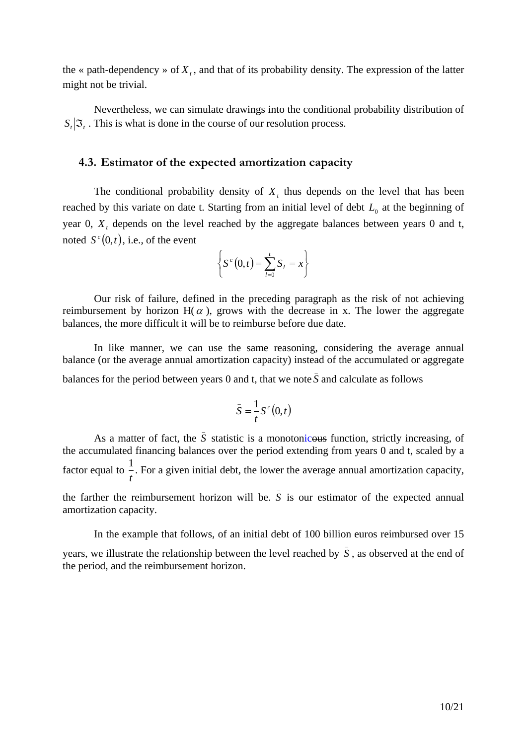the « path-dependency » of  $X_t$ , and that of its probability density. The expression of the latter might not be trivial.

Nevertheless, we can simulate drawings into the conditional probability distribution of  $S_t | \mathcal{F}_t$ . This is what is done in the course of our resolution process.

# **4.3. Estimator of the expected amortization capacity**

The conditional probability density of  $X<sub>t</sub>$ , thus depends on the level that has been reached by this variate on date t. Starting from an initial level of debt  $L_0$  at the beginning of year 0, *X*, depends on the level reached by the aggregate balances between years 0 and t, noted  $S^c(0,t)$ , i.e., of the event

$$
\left\{S^c(0,t)=\sum_{l=0}^tS_l=x\right\}
$$

Our risk of failure, defined in the preceding paragraph as the risk of not achieving reimbursement by horizon  $H(\alpha)$ , grows with the decrease in x. The lower the aggregate balances, the more difficult it will be to reimburse before due date.

In like manner, we can use the same reasoning, considering the average annual balance (or the average annual amortization capacity) instead of the accumulated or aggregate balances for the period between years 0 and t, that we note  $\bar{S}$  and calculate as follows

$$
\bar{S} = \frac{1}{t} S^c(0, t)
$$

As a matter of fact, the  $\overline{S}$  statistic is a monotonicous function, strictly increasing, of the accumulated financing balances over the period extending from years 0 and t, scaled by a factor equal to *t* 1 . For a given initial debt, the lower the average annual amortization capacity,

the farther the reimbursement horizon will be.  $\bar{S}$  is our estimator of the expected annual amortization capacity.

In the example that follows, of an initial debt of 100 billion euros reimbursed over 15 years, we illustrate the relationship between the level reached by  $\bar{S}$ , as observed at the end of the period, and the reimbursement horizon.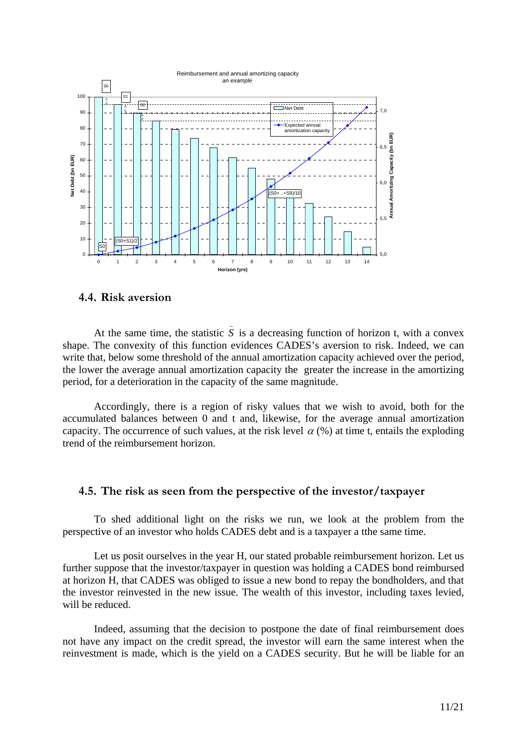

# **4.4. Risk aversion**

At the same time, the statistic  $\overline{S}$  is a decreasing function of horizon t, with a convex shape. The convexity of this function evidences CADES's aversion to risk. Indeed, we can write that, below some threshold of the annual amortization capacity achieved over the period, the lower the average annual amortization capacity the greater the increase in the amortizing period, for a deterioration in the capacity of the same magnitude.

Accordingly, there is a region of risky values that we wish to avoid, both for the accumulated balances between 0 and t and, likewise, for the average annual amortization capacity. The occurrence of such values, at the risk level  $\alpha$  (%) at time t, entails the exploding trend of the reimbursement horizon.

## **4.5. The risk as seen from the perspective of the investor/taxpayer**

To shed additional light on the risks we run, we look at the problem from the perspective of an investor who holds CADES debt and is a taxpayer a tthe same time.

Let us posit ourselves in the year H, our stated probable reimbursement horizon. Let us further suppose that the investor/taxpayer in question was holding a CADES bond reimbursed at horizon H, that CADES was obliged to issue a new bond to repay the bondholders, and that the investor reinvested in the new issue. The wealth of this investor, including taxes levied, will be reduced.

Indeed, assuming that the decision to postpone the date of final reimbursement does not have any impact on the credit spread, the investor will earn the same interest when the reinvestment is made, which is the yield on a CADES security. But he will be liable for an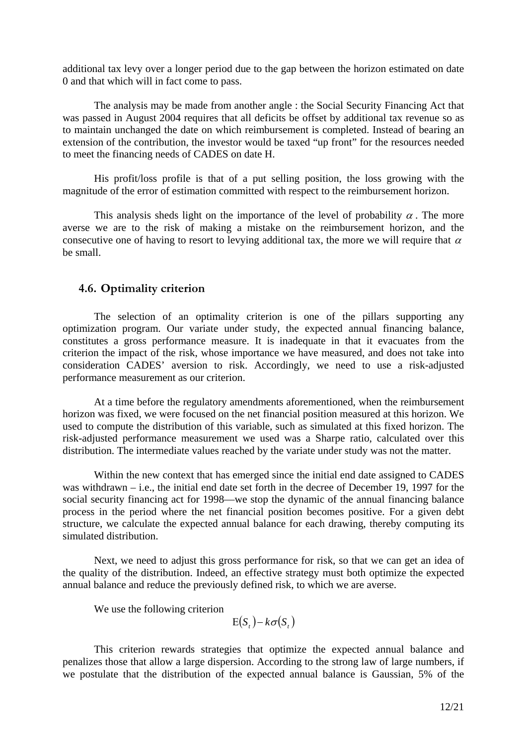additional tax levy over a longer period due to the gap between the horizon estimated on date 0 and that which will in fact come to pass.

The analysis may be made from another angle : the Social Security Financing Act that was passed in August 2004 requires that all deficits be offset by additional tax revenue so as to maintain unchanged the date on which reimbursement is completed. Instead of bearing an extension of the contribution, the investor would be taxed "up front" for the resources needed to meet the financing needs of CADES on date H.

His profit/loss profile is that of a put selling position, the loss growing with the magnitude of the error of estimation committed with respect to the reimbursement horizon.

This analysis sheds light on the importance of the level of probability  $\alpha$ . The more averse we are to the risk of making a mistake on the reimbursement horizon, and the consecutive one of having to resort to levying additional tax, the more we will require that  $\alpha$ be small.

# **4.6. Optimality criterion**

The selection of an optimality criterion is one of the pillars supporting any optimization program. Our variate under study, the expected annual financing balance, constitutes a gross performance measure. It is inadequate in that it evacuates from the criterion the impact of the risk, whose importance we have measured, and does not take into consideration CADES' aversion to risk. Accordingly, we need to use a risk-adjusted performance measurement as our criterion.

At a time before the regulatory amendments aforementioned, when the reimbursement horizon was fixed, we were focused on the net financial position measured at this horizon. We used to compute the distribution of this variable, such as simulated at this fixed horizon. The risk-adjusted performance measurement we used was a Sharpe ratio, calculated over this distribution. The intermediate values reached by the variate under study was not the matter.

Within the new context that has emerged since the initial end date assigned to CADES was withdrawn – i.e., the initial end date set forth in the decree of December 19, 1997 for the social security financing act for 1998—we stop the dynamic of the annual financing balance process in the period where the net financial position becomes positive. For a given debt structure, we calculate the expected annual balance for each drawing, thereby computing its simulated distribution.

Next, we need to adjust this gross performance for risk, so that we can get an idea of the quality of the distribution. Indeed, an effective strategy must both optimize the expected annual balance and reduce the previously defined risk, to which we are averse.

We use the following criterion

 $E(S_t) - k\sigma(S_t)$ 

This criterion rewards strategies that optimize the expected annual balance and penalizes those that allow a large dispersion. According to the strong law of large numbers, if we postulate that the distribution of the expected annual balance is Gaussian, 5% of the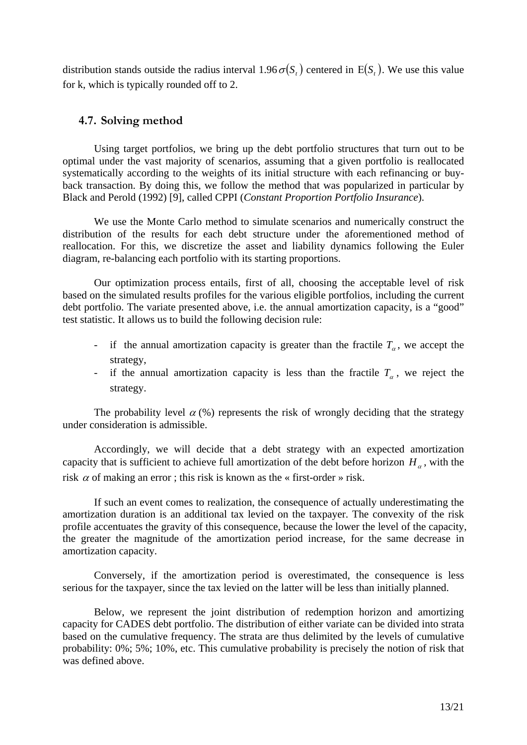distribution stands outside the radius interval  $1.96 \sigma(S)$ , centered in  $E(S)$ . We use this value for k, which is typically rounded off to 2.

## **4.7. Solving method**

Using target portfolios, we bring up the debt portfolio structures that turn out to be optimal under the vast majority of scenarios, assuming that a given portfolio is reallocated systematically according to the weights of its initial structure with each refinancing or buyback transaction. By doing this, we follow the method that was popularized in particular by Black and Perold (1992) [9], called CPPI (*Constant Proportion Portfolio Insurance*).

We use the Monte Carlo method to simulate scenarios and numerically construct the distribution of the results for each debt structure under the aforementioned method of reallocation. For this, we discretize the asset and liability dynamics following the Euler diagram, re-balancing each portfolio with its starting proportions.

Our optimization process entails, first of all, choosing the acceptable level of risk based on the simulated results profiles for the various eligible portfolios, including the current debt portfolio. The variate presented above, i.e. the annual amortization capacity, is a "good" test statistic. It allows us to build the following decision rule:

- if the annual amortization capacity is greater than the fractile  $T_a$ , we accept the strategy,
- if the annual amortization capacity is less than the fractile  $T_\alpha$ , we reject the strategy.

The probability level  $\alpha$  (%) represents the risk of wrongly deciding that the strategy under consideration is admissible.

Accordingly, we will decide that a debt strategy with an expected amortization capacity that is sufficient to achieve full amortization of the debt before horizon  $H_\alpha$ , with the risk  $\alpha$  of making an error; this risk is known as the « first-order » risk.

If such an event comes to realization, the consequence of actually underestimating the amortization duration is an additional tax levied on the taxpayer. The convexity of the risk profile accentuates the gravity of this consequence, because the lower the level of the capacity, the greater the magnitude of the amortization period increase, for the same decrease in amortization capacity.

Conversely, if the amortization period is overestimated, the consequence is less serious for the taxpayer, since the tax levied on the latter will be less than initially planned.

Below, we represent the joint distribution of redemption horizon and amortizing capacity for CADES debt portfolio. The distribution of either variate can be divided into strata based on the cumulative frequency. The strata are thus delimited by the levels of cumulative probability: 0%; 5%; 10%, etc. This cumulative probability is precisely the notion of risk that was defined above.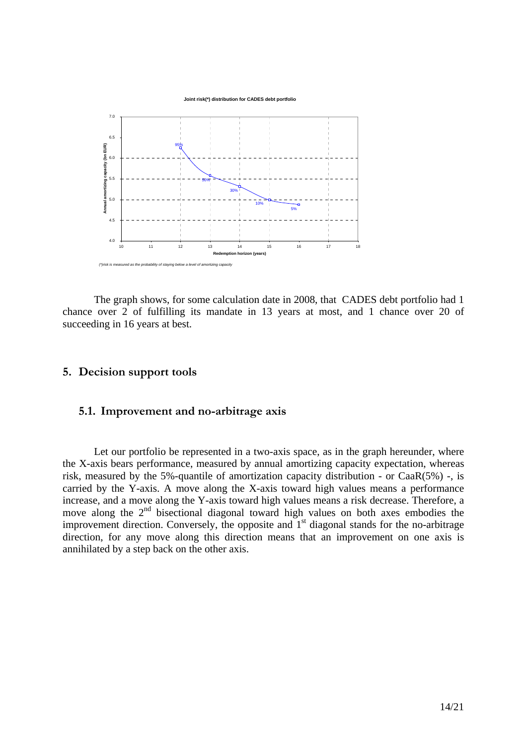

The graph shows, for some calculation date in 2008, that CADES debt portfolio had 1 chance over 2 of fulfilling its mandate in 13 years at most, and 1 chance over 20 of succeeding in 16 years at best.

## **5. Decision support tools**

## **5.1. Improvement and no-arbitrage axis**

Let our portfolio be represented in a two-axis space, as in the graph hereunder, where the X-axis bears performance, measured by annual amortizing capacity expectation, whereas risk, measured by the 5%-quantile of amortization capacity distribution - or CaaR(5%) -, is carried by the Y-axis. A move along the X-axis toward high values means a performance increase, and a move along the Y-axis toward high values means a risk decrease. Therefore, a move along the 2<sup>nd</sup> bisectional diagonal toward high values on both axes embodies the improvement direction. Conversely, the opposite and  $1<sup>st</sup>$  diagonal stands for the no-arbitrage direction, for any move along this direction means that an improvement on one axis is annihilated by a step back on the other axis.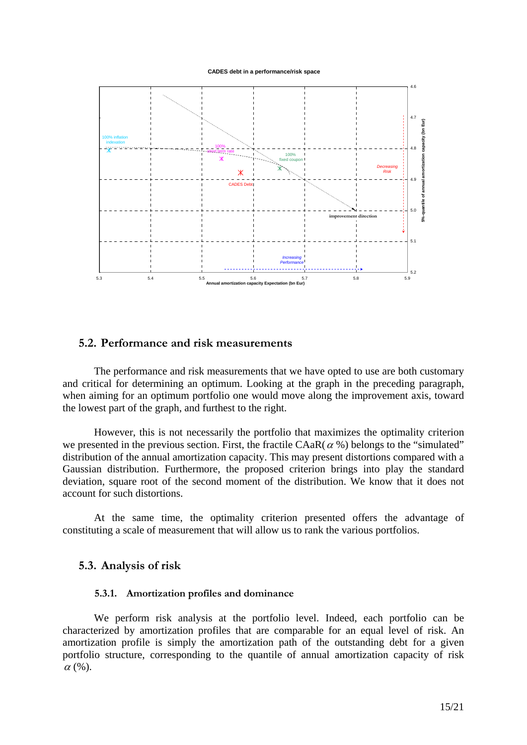**CADES debt in a performance/risk space**



## **5.2. Performance and risk measurements**

The performance and risk measurements that we have opted to use are both customary and critical for determining an optimum. Looking at the graph in the preceding paragraph, when aiming for an optimum portfolio one would move along the improvement axis, toward the lowest part of the graph, and furthest to the right.

However, this is not necessarily the portfolio that maximizes the optimality criterion we presented in the previous section. First, the fractile  $CAaR(\alpha %)$  belongs to the "simulated" distribution of the annual amortization capacity. This may present distortions compared with a Gaussian distribution. Furthermore, the proposed criterion brings into play the standard deviation, square root of the second moment of the distribution. We know that it does not account for such distortions.

At the same time, the optimality criterion presented offers the advantage of constituting a scale of measurement that will allow us to rank the various portfolios.

## **5.3. Analysis of risk**

### **5.3.1. Amortization profiles and dominance**

We perform risk analysis at the portfolio level. Indeed, each portfolio can be characterized by amortization profiles that are comparable for an equal level of risk. An amortization profile is simply the amortization path of the outstanding debt for a given portfolio structure, corresponding to the quantile of annual amortization capacity of risk  $\alpha$  (%).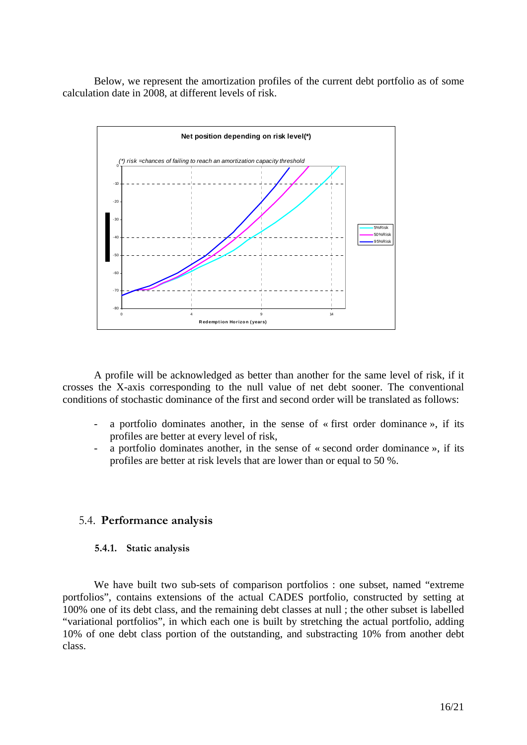Below, we represent the amortization profiles of the current debt portfolio as of some calculation date in 2008, at different levels of risk.



A profile will be acknowledged as better than another for the same level of risk, if it crosses the X-axis corresponding to the null value of net debt sooner. The conventional conditions of stochastic dominance of the first and second order will be translated as follows:

- a portfolio dominates another, in the sense of « first order dominance », if its profiles are better at every level of risk,
- a portfolio dominates another, in the sense of « second order dominance », if its profiles are better at risk levels that are lower than or equal to 50 %.

## 5.4. **Performance analysis**

### **5.4.1. Static analysis**

We have built two sub-sets of comparison portfolios : one subset, named "extreme portfolios", contains extensions of the actual CADES portfolio, constructed by setting at 100% one of its debt class, and the remaining debt classes at null ; the other subset is labelled "variational portfolios", in which each one is built by stretching the actual portfolio, adding 10% of one debt class portion of the outstanding, and substracting 10% from another debt class.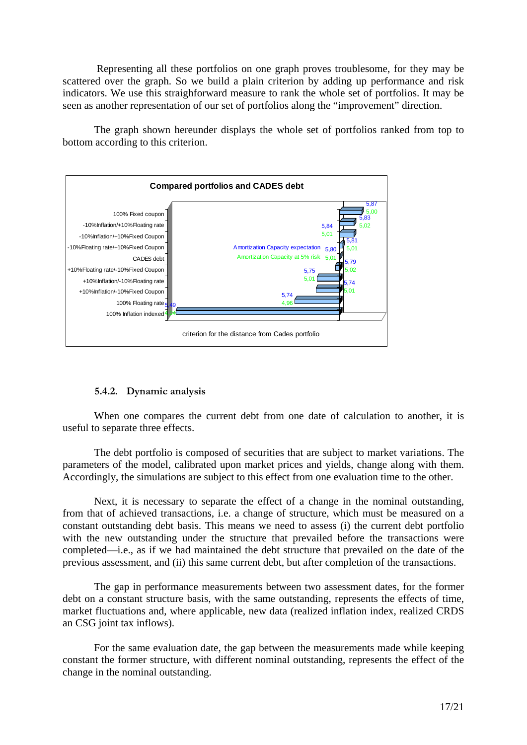Representing all these portfolios on one graph proves troublesome, for they may be scattered over the graph. So we build a plain criterion by adding up performance and risk indicators. We use this straighforward measure to rank the whole set of portfolios. It may be seen as another representation of our set of portfolios along the "improvement" direction.

The graph shown hereunder displays the whole set of portfolios ranked from top to bottom according to this criterion.



# **5.4.2. Dynamic analysis**

When one compares the current debt from one date of calculation to another, it is useful to separate three effects.

The debt portfolio is composed of securities that are subject to market variations. The parameters of the model, calibrated upon market prices and yields, change along with them. Accordingly, the simulations are subject to this effect from one evaluation time to the other.

Next, it is necessary to separate the effect of a change in the nominal outstanding, from that of achieved transactions, i.e. a change of structure, which must be measured on a constant outstanding debt basis. This means we need to assess (i) the current debt portfolio with the new outstanding under the structure that prevailed before the transactions were completed—i.e., as if we had maintained the debt structure that prevailed on the date of the previous assessment, and (ii) this same current debt, but after completion of the transactions.

The gap in performance measurements between two assessment dates, for the former debt on a constant structure basis, with the same outstanding, represents the effects of time, market fluctuations and, where applicable, new data (realized inflation index, realized CRDS an CSG joint tax inflows).

For the same evaluation date, the gap between the measurements made while keeping constant the former structure, with different nominal outstanding, represents the effect of the change in the nominal outstanding.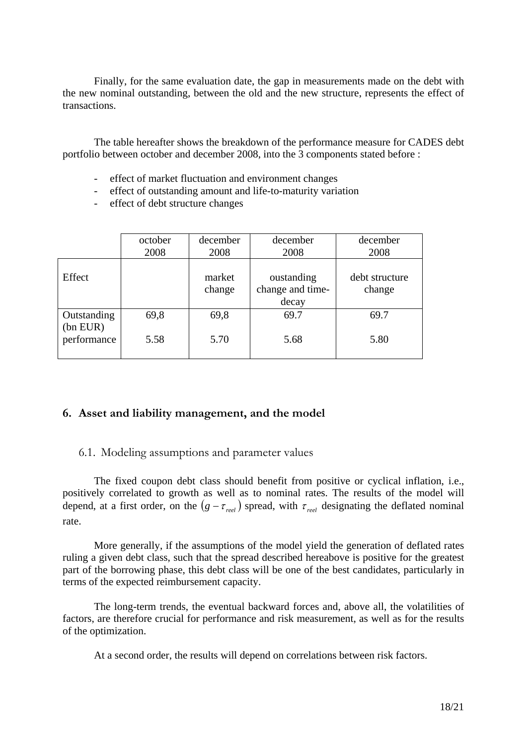Finally, for the same evaluation date, the gap in measurements made on the debt with the new nominal outstanding, between the old and the new structure, represents the effect of transactions.

The table hereafter shows the breakdown of the performance measure for CADES debt portfolio between october and december 2008, into the 3 components stated before :

- effect of market fluctuation and environment changes
- effect of outstanding amount and life-to-maturity variation
- effect of debt structure changes

|                         | october<br>2008 | december<br>2008 | december<br>2008                        | december<br>2008         |
|-------------------------|-----------------|------------------|-----------------------------------------|--------------------------|
| Effect                  |                 | market<br>change | oustanding<br>change and time-<br>decay | debt structure<br>change |
| Outstanding<br>(bn EUR) | 69,8            | 69,8             | 69.7                                    | 69.7                     |
| performance             | 5.58            | 5.70             | 5.68                                    | 5.80                     |

# **6. Asset and liability management, and the model**

# 6.1. Modeling assumptions and parameter values

The fixed coupon debt class should benefit from positive or cyclical inflation, i.e., positively correlated to growth as well as to nominal rates. The results of the model will depend, at a first order, on the  $(g - \tau_{\text{rel}})$  spread, with  $\tau_{\text{rel}}$  designating the deflated nominal rate.

More generally, if the assumptions of the model yield the generation of deflated rates ruling a given debt class, such that the spread described hereabove is positive for the greatest part of the borrowing phase, this debt class will be one of the best candidates, particularly in terms of the expected reimbursement capacity.

The long-term trends, the eventual backward forces and, above all, the volatilities of factors, are therefore crucial for performance and risk measurement, as well as for the results of the optimization.

At a second order, the results will depend on correlations between risk factors.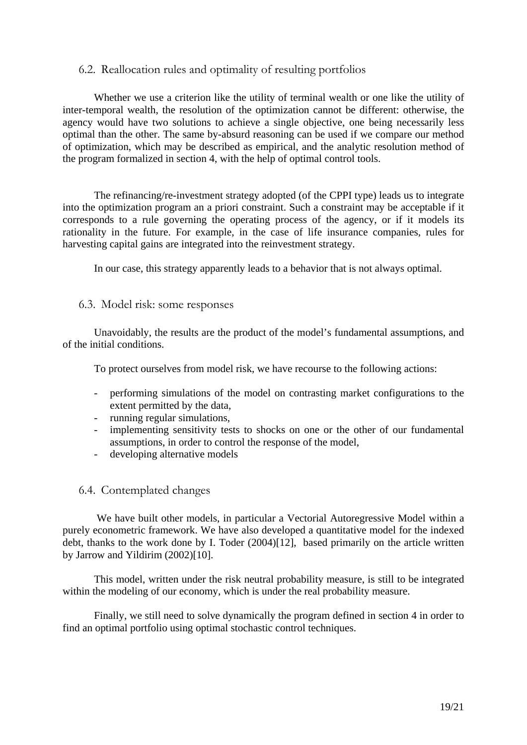# 6.2. Reallocation rules and optimality of resulting portfolios

Whether we use a criterion like the utility of terminal wealth or one like the utility of inter-temporal wealth, the resolution of the optimization cannot be different: otherwise, the agency would have two solutions to achieve a single objective, one being necessarily less optimal than the other. The same by-absurd reasoning can be used if we compare our method of optimization, which may be described as empirical, and the analytic resolution method of the program formalized in section 4, with the help of optimal control tools.

The refinancing/re-investment strategy adopted (of the CPPI type) leads us to integrate into the optimization program an a priori constraint. Such a constraint may be acceptable if it corresponds to a rule governing the operating process of the agency, or if it models its rationality in the future. For example, in the case of life insurance companies, rules for harvesting capital gains are integrated into the reinvestment strategy.

In our case, this strategy apparently leads to a behavior that is not always optimal.

## 6.3. Model risk: some responses

Unavoidably, the results are the product of the model's fundamental assumptions, and of the initial conditions.

To protect ourselves from model risk, we have recourse to the following actions:

- performing simulations of the model on contrasting market configurations to the extent permitted by the data,
- running regular simulations,
- implementing sensitivity tests to shocks on one or the other of our fundamental assumptions, in order to control the response of the model,
- developing alternative models
- 6.4. Contemplated changes

 We have built other models, in particular a Vectorial Autoregressive Model within a purely econometric framework. We have also developed a quantitative model for the indexed debt, thanks to the work done by I. Toder (2004)[12], based primarily on the article written by Jarrow and Yildirim (2002)[10].

This model, written under the risk neutral probability measure, is still to be integrated within the modeling of our economy, which is under the real probability measure.

Finally, we still need to solve dynamically the program defined in section 4 in order to find an optimal portfolio using optimal stochastic control techniques.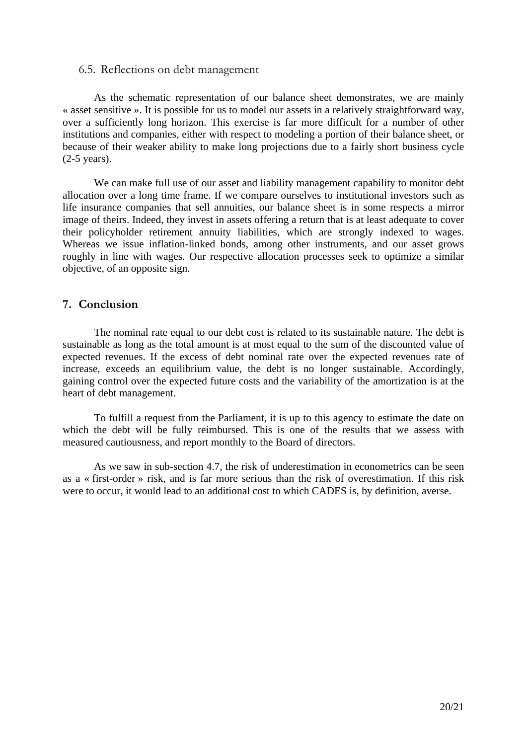### 6.5. Reflections on debt management

As the schematic representation of our balance sheet demonstrates, we are mainly « asset sensitive ». It is possible for us to model our assets in a relatively straightforward way, over a sufficiently long horizon. This exercise is far more difficult for a number of other institutions and companies, either with respect to modeling a portion of their balance sheet, or because of their weaker ability to make long projections due to a fairly short business cycle (2-5 years).

We can make full use of our asset and liability management capability to monitor debt allocation over a long time frame. If we compare ourselves to institutional investors such as life insurance companies that sell annuities, our balance sheet is in some respects a mirror image of theirs. Indeed, they invest in assets offering a return that is at least adequate to cover their policyholder retirement annuity liabilities, which are strongly indexed to wages. Whereas we issue inflation-linked bonds, among other instruments, and our asset grows roughly in line with wages. Our respective allocation processes seek to optimize a similar objective, of an opposite sign.

# **7. Conclusion**

The nominal rate equal to our debt cost is related to its sustainable nature. The debt is sustainable as long as the total amount is at most equal to the sum of the discounted value of expected revenues. If the excess of debt nominal rate over the expected revenues rate of increase, exceeds an equilibrium value, the debt is no longer sustainable. Accordingly, gaining control over the expected future costs and the variability of the amortization is at the heart of debt management.

To fulfill a request from the Parliament, it is up to this agency to estimate the date on which the debt will be fully reimbursed. This is one of the results that we assess with measured cautiousness, and report monthly to the Board of directors.

As we saw in sub-section 4.7, the risk of underestimation in econometrics can be seen as a « first-order » risk, and is far more serious than the risk of overestimation. If this risk were to occur, it would lead to an additional cost to which CADES is, by definition, averse.